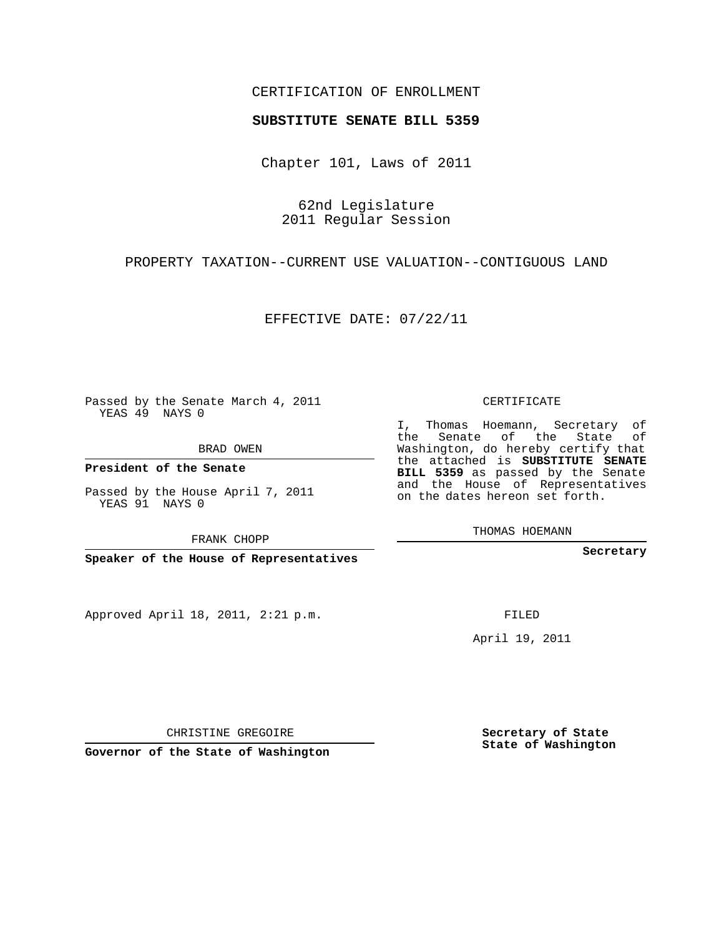## CERTIFICATION OF ENROLLMENT

## **SUBSTITUTE SENATE BILL 5359**

Chapter 101, Laws of 2011

62nd Legislature 2011 Regular Session

PROPERTY TAXATION--CURRENT USE VALUATION--CONTIGUOUS LAND

EFFECTIVE DATE: 07/22/11

Passed by the Senate March 4, 2011 YEAS 49 NAYS 0

BRAD OWEN

**President of the Senate**

Passed by the House April 7, 2011 YEAS 91 NAYS 0

FRANK CHOPP

**Speaker of the House of Representatives**

Approved April 18, 2011, 2:21 p.m.

CERTIFICATE

I, Thomas Hoemann, Secretary of the Senate of the State of Washington, do hereby certify that the attached is **SUBSTITUTE SENATE BILL 5359** as passed by the Senate and the House of Representatives on the dates hereon set forth.

THOMAS HOEMANN

**Secretary**

FILED

April 19, 2011

CHRISTINE GREGOIRE

**Governor of the State of Washington**

**Secretary of State State of Washington**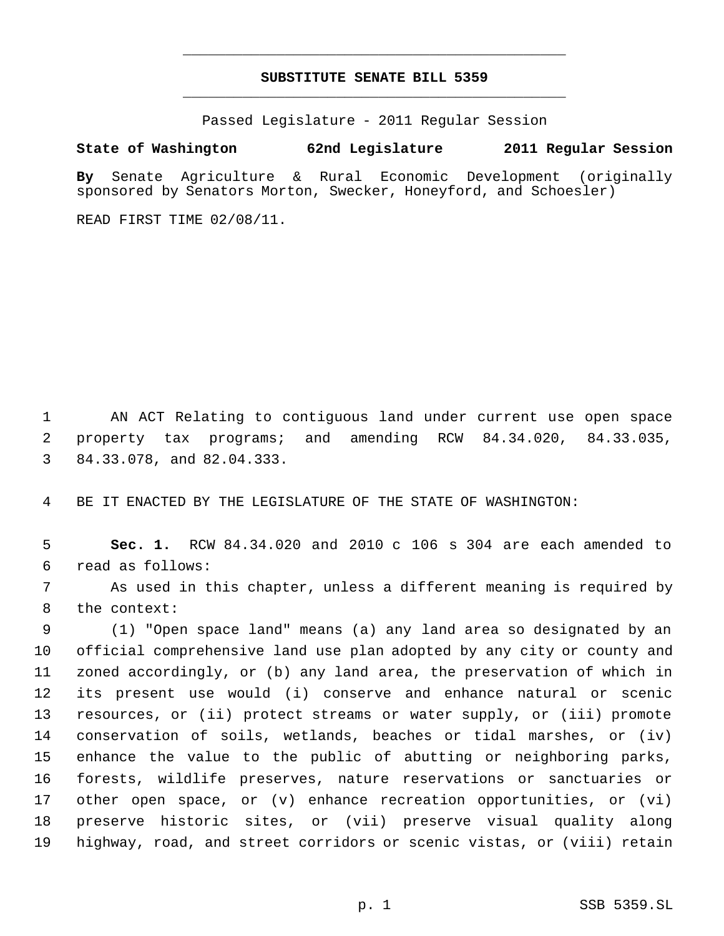## **SUBSTITUTE SENATE BILL 5359** \_\_\_\_\_\_\_\_\_\_\_\_\_\_\_\_\_\_\_\_\_\_\_\_\_\_\_\_\_\_\_\_\_\_\_\_\_\_\_\_\_\_\_\_\_

\_\_\_\_\_\_\_\_\_\_\_\_\_\_\_\_\_\_\_\_\_\_\_\_\_\_\_\_\_\_\_\_\_\_\_\_\_\_\_\_\_\_\_\_\_

Passed Legislature - 2011 Regular Session

## **State of Washington 62nd Legislature 2011 Regular Session**

**By** Senate Agriculture & Rural Economic Development (originally sponsored by Senators Morton, Swecker, Honeyford, and Schoesler)

READ FIRST TIME 02/08/11.

 AN ACT Relating to contiguous land under current use open space property tax programs; and amending RCW 84.34.020, 84.33.035, 84.33.078, and 82.04.333.

BE IT ENACTED BY THE LEGISLATURE OF THE STATE OF WASHINGTON:

 **Sec. 1.** RCW 84.34.020 and 2010 c 106 s 304 are each amended to read as follows:

 As used in this chapter, unless a different meaning is required by the context:

 (1) "Open space land" means (a) any land area so designated by an official comprehensive land use plan adopted by any city or county and zoned accordingly, or (b) any land area, the preservation of which in its present use would (i) conserve and enhance natural or scenic resources, or (ii) protect streams or water supply, or (iii) promote conservation of soils, wetlands, beaches or tidal marshes, or (iv) enhance the value to the public of abutting or neighboring parks, forests, wildlife preserves, nature reservations or sanctuaries or other open space, or (v) enhance recreation opportunities, or (vi) preserve historic sites, or (vii) preserve visual quality along highway, road, and street corridors or scenic vistas, or (viii) retain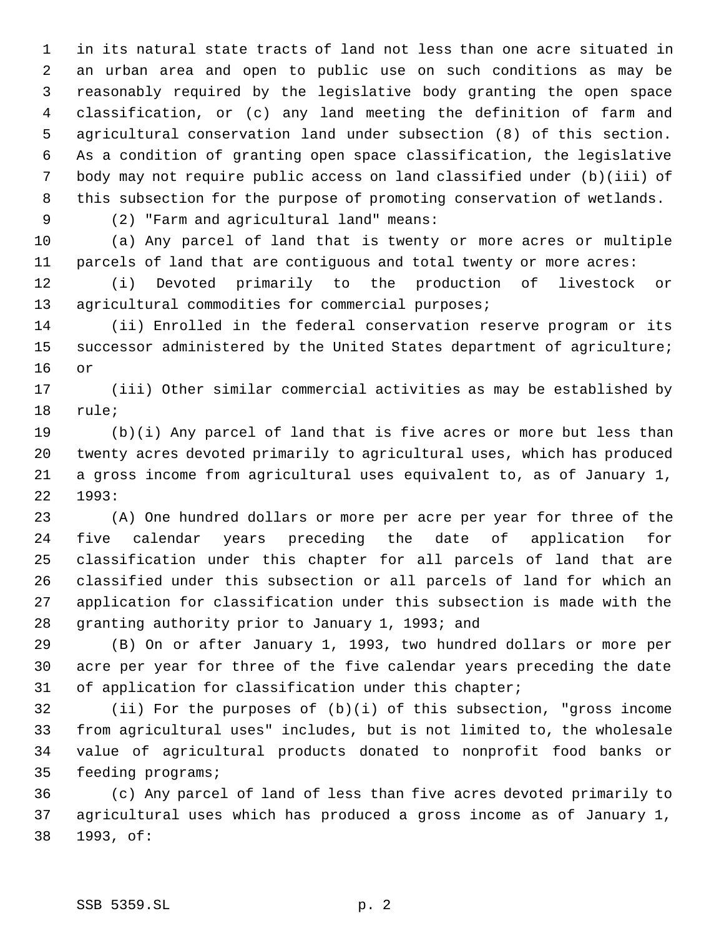in its natural state tracts of land not less than one acre situated in an urban area and open to public use on such conditions as may be reasonably required by the legislative body granting the open space classification, or (c) any land meeting the definition of farm and agricultural conservation land under subsection (8) of this section. As a condition of granting open space classification, the legislative body may not require public access on land classified under (b)(iii) of this subsection for the purpose of promoting conservation of wetlands.

(2) "Farm and agricultural land" means:

 (a) Any parcel of land that is twenty or more acres or multiple parcels of land that are contiguous and total twenty or more acres:

 (i) Devoted primarily to the production of livestock or 13 agricultural commodities for commercial purposes;

 (ii) Enrolled in the federal conservation reserve program or its successor administered by the United States department of agriculture; or

 (iii) Other similar commercial activities as may be established by rule;

 (b)(i) Any parcel of land that is five acres or more but less than twenty acres devoted primarily to agricultural uses, which has produced a gross income from agricultural uses equivalent to, as of January 1, 1993:

 (A) One hundred dollars or more per acre per year for three of the five calendar years preceding the date of application for classification under this chapter for all parcels of land that are classified under this subsection or all parcels of land for which an application for classification under this subsection is made with the granting authority prior to January 1, 1993; and

 (B) On or after January 1, 1993, two hundred dollars or more per acre per year for three of the five calendar years preceding the date of application for classification under this chapter;

 (ii) For the purposes of (b)(i) of this subsection, "gross income from agricultural uses" includes, but is not limited to, the wholesale value of agricultural products donated to nonprofit food banks or feeding programs;

 (c) Any parcel of land of less than five acres devoted primarily to agricultural uses which has produced a gross income as of January 1, 1993, of: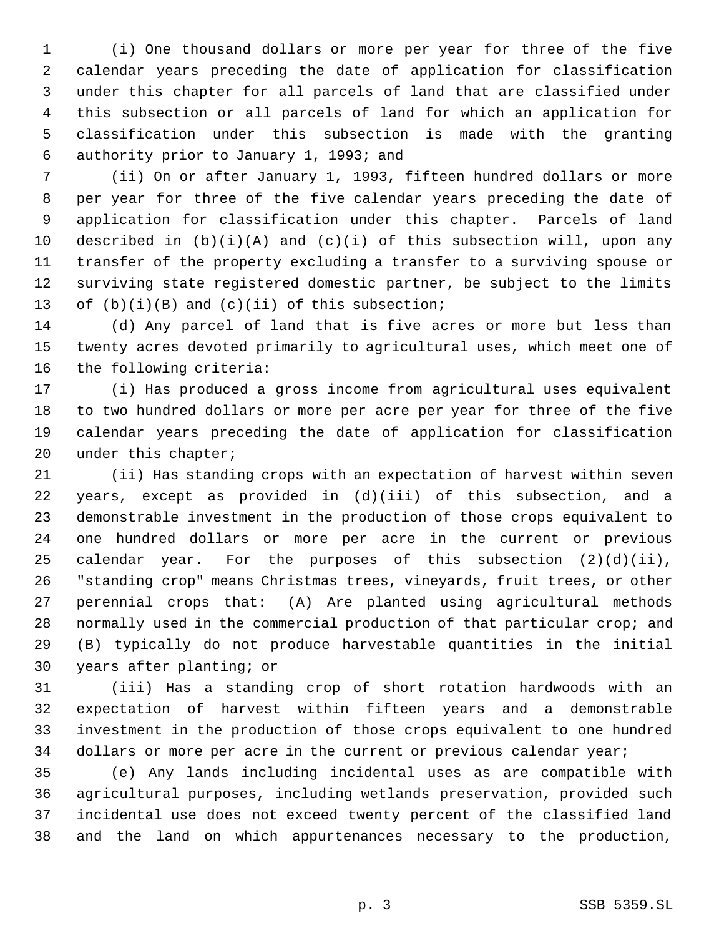(i) One thousand dollars or more per year for three of the five calendar years preceding the date of application for classification under this chapter for all parcels of land that are classified under this subsection or all parcels of land for which an application for classification under this subsection is made with the granting authority prior to January 1, 1993; and

 (ii) On or after January 1, 1993, fifteen hundred dollars or more per year for three of the five calendar years preceding the date of application for classification under this chapter. Parcels of land described in (b)(i)(A) and (c)(i) of this subsection will, upon any transfer of the property excluding a transfer to a surviving spouse or surviving state registered domestic partner, be subject to the limits 13 of  $(b)(i)(B)$  and  $(c)(ii)$  of this subsection;

 (d) Any parcel of land that is five acres or more but less than twenty acres devoted primarily to agricultural uses, which meet one of the following criteria:

 (i) Has produced a gross income from agricultural uses equivalent to two hundred dollars or more per acre per year for three of the five calendar years preceding the date of application for classification under this chapter;

 (ii) Has standing crops with an expectation of harvest within seven years, except as provided in (d)(iii) of this subsection, and a demonstrable investment in the production of those crops equivalent to one hundred dollars or more per acre in the current or previous calendar year. For the purposes of this subsection (2)(d)(ii), "standing crop" means Christmas trees, vineyards, fruit trees, or other perennial crops that: (A) Are planted using agricultural methods normally used in the commercial production of that particular crop; and (B) typically do not produce harvestable quantities in the initial years after planting; or

 (iii) Has a standing crop of short rotation hardwoods with an expectation of harvest within fifteen years and a demonstrable investment in the production of those crops equivalent to one hundred dollars or more per acre in the current or previous calendar year;

 (e) Any lands including incidental uses as are compatible with agricultural purposes, including wetlands preservation, provided such incidental use does not exceed twenty percent of the classified land and the land on which appurtenances necessary to the production,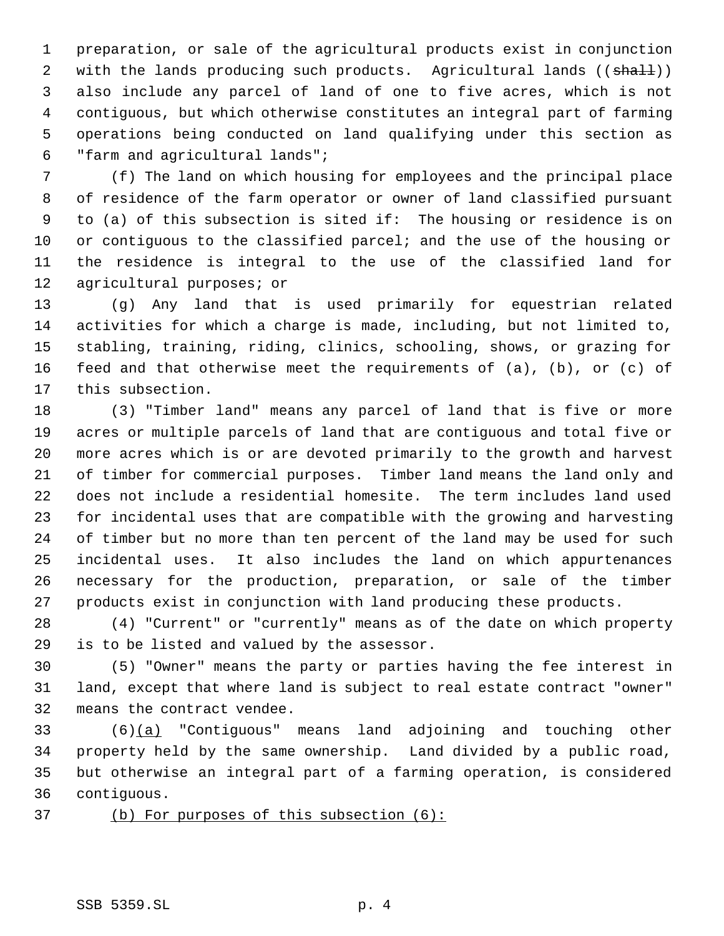preparation, or sale of the agricultural products exist in conjunction 2 with the lands producing such products. Agricultural lands ((shall)) also include any parcel of land of one to five acres, which is not contiguous, but which otherwise constitutes an integral part of farming operations being conducted on land qualifying under this section as "farm and agricultural lands";

 (f) The land on which housing for employees and the principal place of residence of the farm operator or owner of land classified pursuant to (a) of this subsection is sited if: The housing or residence is on or contiguous to the classified parcel; and the use of the housing or the residence is integral to the use of the classified land for agricultural purposes; or

 (g) Any land that is used primarily for equestrian related activities for which a charge is made, including, but not limited to, stabling, training, riding, clinics, schooling, shows, or grazing for feed and that otherwise meet the requirements of (a), (b), or (c) of this subsection.

 (3) "Timber land" means any parcel of land that is five or more acres or multiple parcels of land that are contiguous and total five or more acres which is or are devoted primarily to the growth and harvest of timber for commercial purposes. Timber land means the land only and does not include a residential homesite. The term includes land used for incidental uses that are compatible with the growing and harvesting of timber but no more than ten percent of the land may be used for such incidental uses. It also includes the land on which appurtenances necessary for the production, preparation, or sale of the timber products exist in conjunction with land producing these products.

 (4) "Current" or "currently" means as of the date on which property is to be listed and valued by the assessor.

 (5) "Owner" means the party or parties having the fee interest in land, except that where land is subject to real estate contract "owner" means the contract vendee.

 (6)(a) "Contiguous" means land adjoining and touching other property held by the same ownership. Land divided by a public road, but otherwise an integral part of a farming operation, is considered contiguous.

(b) For purposes of this subsection (6):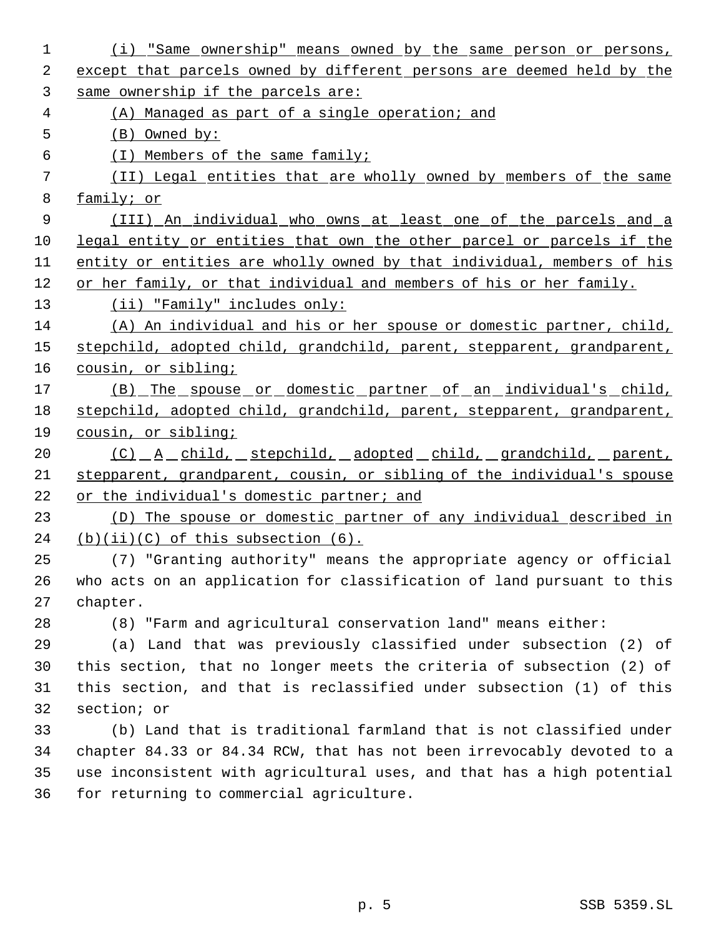| 1  | (i) "Same ownership" means owned by the same person or persons,        |
|----|------------------------------------------------------------------------|
| 2  | except that parcels owned by different persons are deemed held by the  |
| 3  | same ownership if the parcels are:                                     |
| 4  | (A) Managed as part of a single operation; and                         |
| 5  | $(B)$ Owned by:                                                        |
| 6  | (I) Members of the same family;                                        |
| 7  | (II) Legal entities that are wholly owned by members of the same       |
| 8  | family; or                                                             |
| 9  | (III) An individual who owns at least one of the parcels and a         |
| 10 | legal entity or entities that own the other parcel or parcels if the   |
| 11 | entity or entities are wholly owned by that individual, members of his |
| 12 | or her family, or that individual and members of his or her family.    |
| 13 | (ii) "Family" includes only:                                           |
| 14 | (A) An individual and his or her spouse or domestic partner, child,    |
| 15 | stepchild, adopted child, grandchild, parent, stepparent, grandparent, |
| 16 | cousin, or sibling;                                                    |
| 17 | <u>(B) The spouse or domestic partner of an individual's child,</u>    |
| 18 | stepchild, adopted child, grandchild, parent, stepparent, grandparent, |
| 19 | cousin, or sibling;                                                    |
| 20 | <u>(C) A child, stepchild, adopted child, grandchild, parent,</u>      |
| 21 | stepparent, grandparent, cousin, or sibling of the individual's spouse |
| 22 | or the individual's domestic partner; and                              |
| 23 | (D) The spouse or domestic partner of any individual described in      |
| 24 | $(b)(ii)(C)$ of this subsection $(6)$ .                                |
| 25 | (7) "Granting authority" means the appropriate agency or official      |
| 26 | who acts on an application for classification of land pursuant to this |
| 27 | chapter.                                                               |
| 28 | (8) "Farm and agricultural conservation land" means either:            |
| 29 | (a) Land that was previously classified under subsection (2) of        |
| 30 | this section, that no longer meets the criteria of subsection (2) of   |
| 31 | this section, and that is reclassified under subsection (1) of this    |
| 32 | section; or                                                            |
| 33 | (b) Land that is traditional farmland that is not classified under     |
| 34 | chapter 84.33 or 84.34 RCW, that has not been irrevocably devoted to a |
| 35 | use inconsistent with agricultural uses, and that has a high potential |
| 36 | for returning to commercial agriculture.                               |
|    |                                                                        |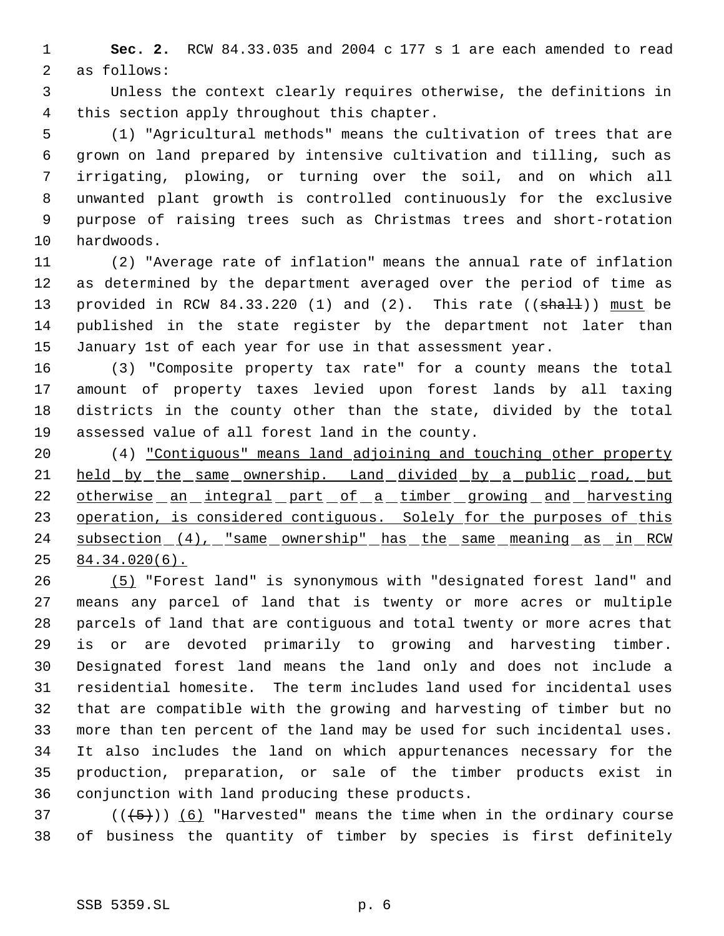**Sec. 2.** RCW 84.33.035 and 2004 c 177 s 1 are each amended to read as follows:

 Unless the context clearly requires otherwise, the definitions in this section apply throughout this chapter.

 (1) "Agricultural methods" means the cultivation of trees that are grown on land prepared by intensive cultivation and tilling, such as irrigating, plowing, or turning over the soil, and on which all unwanted plant growth is controlled continuously for the exclusive purpose of raising trees such as Christmas trees and short-rotation hardwoods.

 (2) "Average rate of inflation" means the annual rate of inflation as determined by the department averaged over the period of time as 13 provided in RCW 84.33.220 (1) and (2). This rate ((shall)) must be published in the state register by the department not later than January 1st of each year for use in that assessment year.

 (3) "Composite property tax rate" for a county means the total amount of property taxes levied upon forest lands by all taxing districts in the county other than the state, divided by the total assessed value of all forest land in the county.

 (4) "Contiguous" means land adjoining and touching other property 21 held by the same ownership. Land divided by a public road, but 22 otherwise an integral part of a timber growing and harvesting 23 operation, is considered contiguous. Solely for the purposes of this 24 subsection (4), "same ownership" has the same meaning as in RCW 84.34.020(6).

 (5) "Forest land" is synonymous with "designated forest land" and means any parcel of land that is twenty or more acres or multiple parcels of land that are contiguous and total twenty or more acres that is or are devoted primarily to growing and harvesting timber. Designated forest land means the land only and does not include a residential homesite. The term includes land used for incidental uses that are compatible with the growing and harvesting of timber but no more than ten percent of the land may be used for such incidental uses. It also includes the land on which appurtenances necessary for the production, preparation, or sale of the timber products exist in conjunction with land producing these products.

37 ( $(\frac{5}{1})$ ) (6) "Harvested" means the time when in the ordinary course of business the quantity of timber by species is first definitely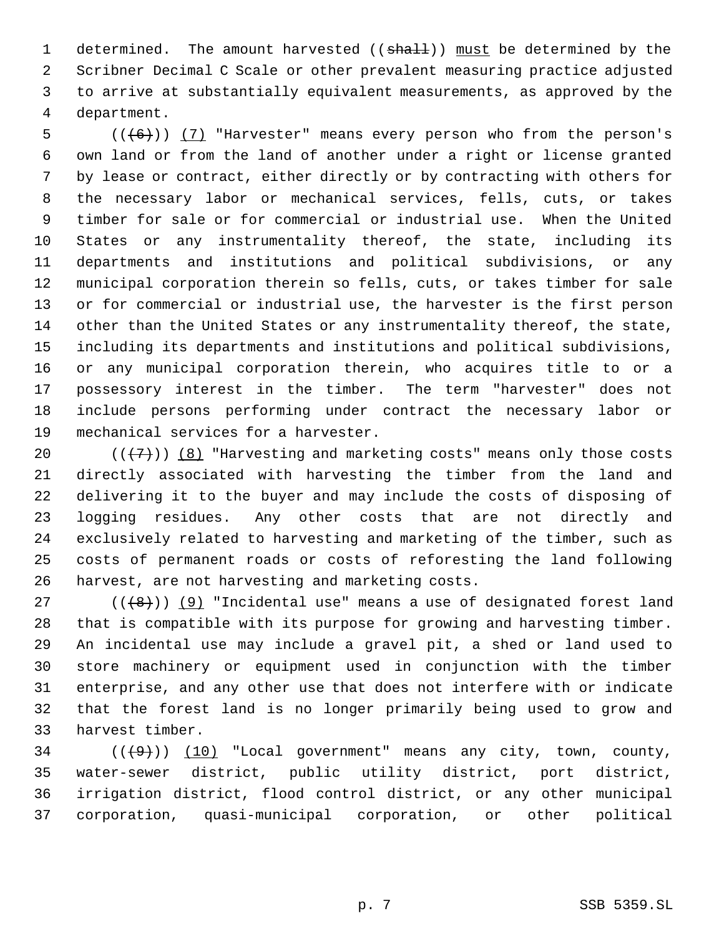1 determined. The amount harvested ((shall)) must be determined by the Scribner Decimal C Scale or other prevalent measuring practice adjusted to arrive at substantially equivalent measurements, as approved by the department.

 $((+6))$   $(7)$  "Harvester" means every person who from the person's own land or from the land of another under a right or license granted by lease or contract, either directly or by contracting with others for the necessary labor or mechanical services, fells, cuts, or takes timber for sale or for commercial or industrial use. When the United States or any instrumentality thereof, the state, including its departments and institutions and political subdivisions, or any municipal corporation therein so fells, cuts, or takes timber for sale or for commercial or industrial use, the harvester is the first person 14 other than the United States or any instrumentality thereof, the state, including its departments and institutions and political subdivisions, or any municipal corporation therein, who acquires title to or a possessory interest in the timber. The term "harvester" does not include persons performing under contract the necessary labor or mechanical services for a harvester.

 $((+7))$   $(8)$  "Harvesting and marketing costs" means only those costs directly associated with harvesting the timber from the land and delivering it to the buyer and may include the costs of disposing of logging residues. Any other costs that are not directly and exclusively related to harvesting and marketing of the timber, such as costs of permanent roads or costs of reforesting the land following harvest, are not harvesting and marketing costs.

 $((+8))$  (9) "Incidental use" means a use of designated forest land that is compatible with its purpose for growing and harvesting timber. An incidental use may include a gravel pit, a shed or land used to store machinery or equipment used in conjunction with the timber enterprise, and any other use that does not interfere with or indicate that the forest land is no longer primarily being used to grow and harvest timber.

 ( $(\overline{(+9)})$   $(10)$  "Local government" means any city, town, county, water-sewer district, public utility district, port district, irrigation district, flood control district, or any other municipal corporation, quasi-municipal corporation, or other political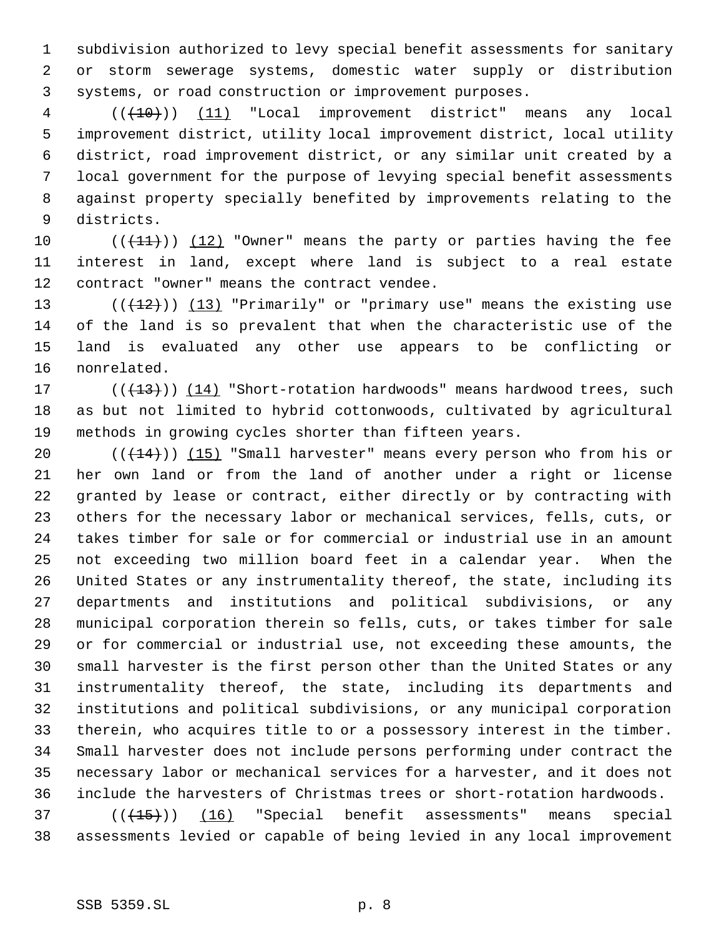subdivision authorized to levy special benefit assessments for sanitary or storm sewerage systems, domestic water supply or distribution systems, or road construction or improvement purposes.

  $((+10))$   $(11)$  "Local improvement district" means any local improvement district, utility local improvement district, local utility district, road improvement district, or any similar unit created by a local government for the purpose of levying special benefit assessments against property specially benefited by improvements relating to the districts.

10  $((+11))$   $(12)$  "Owner" means the party or parties having the fee interest in land, except where land is subject to a real estate contract "owner" means the contract vendee.

 $((+12))$   $(13)$  "Primarily" or "primary use" means the existing use of the land is so prevalent that when the characteristic use of the land is evaluated any other use appears to be conflicting or nonrelated.

17  $((+13))$   $(14)$  "Short-rotation hardwoods" means hardwood trees, such as but not limited to hybrid cottonwoods, cultivated by agricultural methods in growing cycles shorter than fifteen years.

 $((+14))$   $(15)$  "Small harvester" means every person who from his or her own land or from the land of another under a right or license granted by lease or contract, either directly or by contracting with others for the necessary labor or mechanical services, fells, cuts, or takes timber for sale or for commercial or industrial use in an amount not exceeding two million board feet in a calendar year. When the United States or any instrumentality thereof, the state, including its departments and institutions and political subdivisions, or any municipal corporation therein so fells, cuts, or takes timber for sale or for commercial or industrial use, not exceeding these amounts, the small harvester is the first person other than the United States or any instrumentality thereof, the state, including its departments and institutions and political subdivisions, or any municipal corporation therein, who acquires title to or a possessory interest in the timber. Small harvester does not include persons performing under contract the necessary labor or mechanical services for a harvester, and it does not include the harvesters of Christmas trees or short-rotation hardwoods.

 ( $(\overline{(+15)})$ ) (16) "Special benefit assessments" means special assessments levied or capable of being levied in any local improvement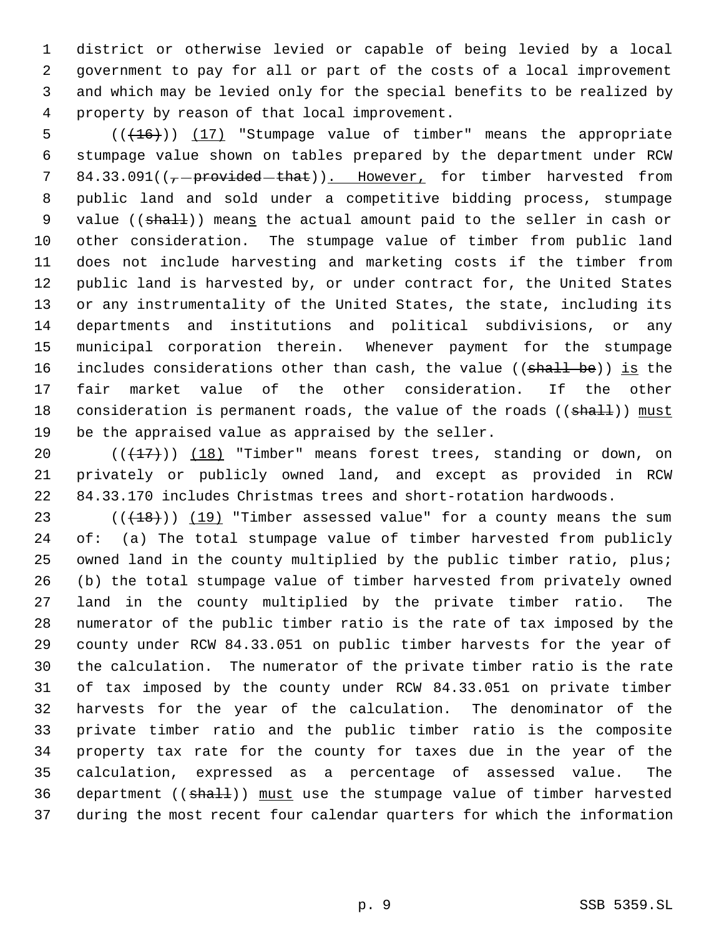district or otherwise levied or capable of being levied by a local government to pay for all or part of the costs of a local improvement and which may be levied only for the special benefits to be realized by property by reason of that local improvement.

5 (( $(16)$ )) (17) "Stumpage value of timber" means the appropriate stumpage value shown on tables prepared by the department under RCW 7 84.33.091( $(-$ provided that)). However, for timber harvested from public land and sold under a competitive bidding process, stumpage 9 value ((shall)) means the actual amount paid to the seller in cash or other consideration. The stumpage value of timber from public land does not include harvesting and marketing costs if the timber from public land is harvested by, or under contract for, the United States or any instrumentality of the United States, the state, including its departments and institutions and political subdivisions, or any municipal corporation therein. Whenever payment for the stumpage 16 includes considerations other than cash, the value ((shall be)) is the fair market value of the other consideration. If the other 18 consideration is permanent roads, the value of the roads ((shall)) must be the appraised value as appraised by the seller.

20  $((+17))$   $(18)$  "Timber" means forest trees, standing or down, on privately or publicly owned land, and except as provided in RCW 84.33.170 includes Christmas trees and short-rotation hardwoods.

 $((+18))$   $(19)$  "Timber assessed value" for a county means the sum of: (a) The total stumpage value of timber harvested from publicly owned land in the county multiplied by the public timber ratio, plus; (b) the total stumpage value of timber harvested from privately owned land in the county multiplied by the private timber ratio. The numerator of the public timber ratio is the rate of tax imposed by the county under RCW 84.33.051 on public timber harvests for the year of the calculation. The numerator of the private timber ratio is the rate of tax imposed by the county under RCW 84.33.051 on private timber harvests for the year of the calculation. The denominator of the private timber ratio and the public timber ratio is the composite property tax rate for the county for taxes due in the year of the calculation, expressed as a percentage of assessed value. The 36 department ((shall)) must use the stumpage value of timber harvested during the most recent four calendar quarters for which the information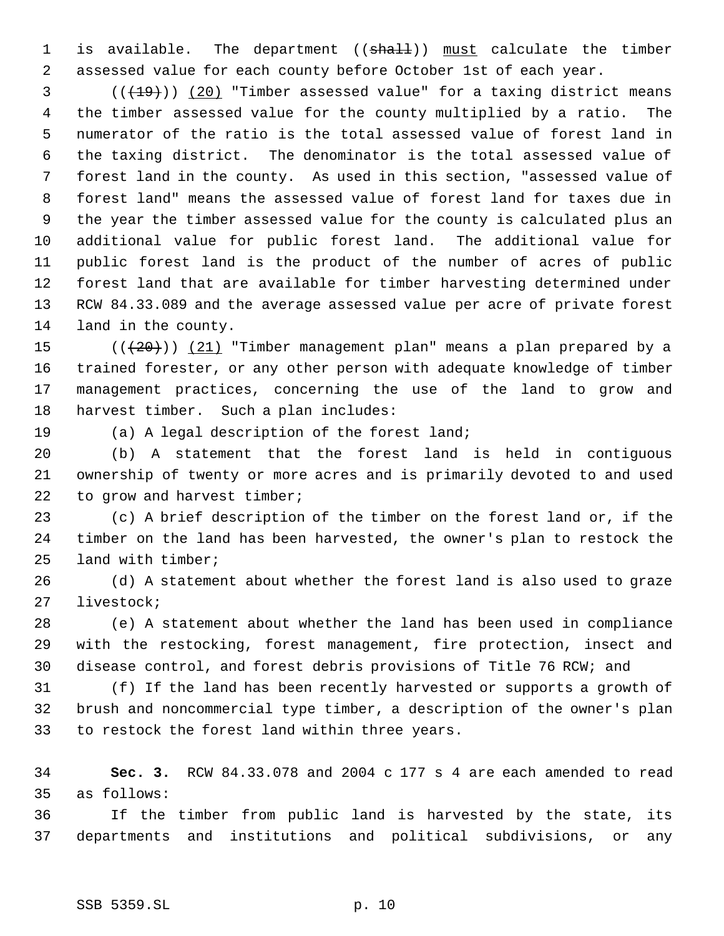1 is available. The department ((shall)) must calculate the timber assessed value for each county before October 1st of each year.

 ( $(\frac{19}{19})$ ) (20) "Timber assessed value" for a taxing district means the timber assessed value for the county multiplied by a ratio. The numerator of the ratio is the total assessed value of forest land in the taxing district. The denominator is the total assessed value of forest land in the county. As used in this section, "assessed value of forest land" means the assessed value of forest land for taxes due in the year the timber assessed value for the county is calculated plus an additional value for public forest land. The additional value for public forest land is the product of the number of acres of public forest land that are available for timber harvesting determined under RCW 84.33.089 and the average assessed value per acre of private forest land in the county.

 $((+20))$   $(21)$  "Timber management plan" means a plan prepared by a trained forester, or any other person with adequate knowledge of timber management practices, concerning the use of the land to grow and harvest timber. Such a plan includes:

(a) A legal description of the forest land;

 (b) A statement that the forest land is held in contiguous ownership of twenty or more acres and is primarily devoted to and used 22 to grow and harvest timber;

 (c) A brief description of the timber on the forest land or, if the timber on the land has been harvested, the owner's plan to restock the land with timber;

 (d) A statement about whether the forest land is also used to graze livestock;

 (e) A statement about whether the land has been used in compliance with the restocking, forest management, fire protection, insect and disease control, and forest debris provisions of Title 76 RCW; and

 (f) If the land has been recently harvested or supports a growth of brush and noncommercial type timber, a description of the owner's plan to restock the forest land within three years.

 **Sec. 3.** RCW 84.33.078 and 2004 c 177 s 4 are each amended to read as follows:

 If the timber from public land is harvested by the state, its departments and institutions and political subdivisions, or any